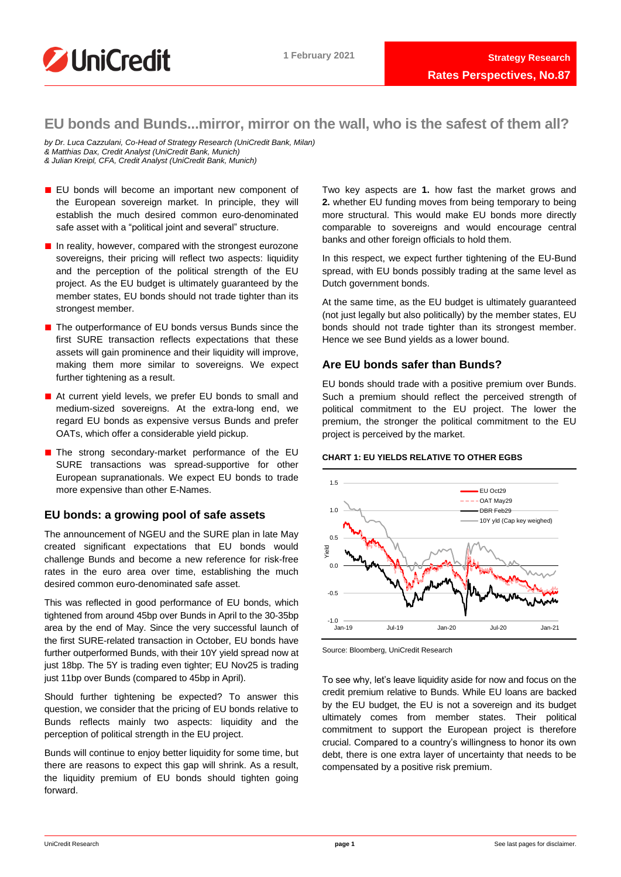

# **EU bonds and Bunds...mirror, mirror on the wall, who is the safest of them all?**

*by Dr. Luca Cazzulani, Co-Head of Strategy Research (UniCredit Bank, Milan) & Matthias Dax, Credit Analyst (UniCredit Bank, Munich) & Julian Kreipl, CFA, Credit Analyst (UniCredit Bank, Munich)*

- EU bonds will become an important new component of the European sovereign market. In principle, they will establish the much desired common euro-denominated safe asset with a "political joint and several" structure.
- In reality, however, compared with the strongest eurozone sovereigns, their pricing will reflect two aspects: liquidity and the perception of the political strength of the EU project. As the EU budget is ultimately guaranteed by the member states. EU bonds should not trade tighter than its strongest member.
- The outperformance of EU bonds versus Bunds since the first SURE transaction reflects expectations that these assets will gain prominence and their liquidity will improve. making them more similar to sovereigns. We expect further tightening as a result.
- At current vield levels, we prefer EU bonds to small and medium-sized sovereigns. At the extra-long end, we regard EU bonds as expensive versus Bunds and prefer OATs, which offer a considerable yield pickup.
- The strong secondary-market performance of the EU SURE transactions was spread-supportive for other European supranationals. We expect EU bonds to trade more expensive than other E-Names.

# **EU bonds: a growing pool of safe assets**

The announcement of NGEU and the SURE plan in late May created significant expectations that EU bonds would challenge Bunds and become a new reference for risk-free rates in the euro area over time, establishing the much desired common euro-denominated safe asset.

This was reflected in good performance of EU bonds, which tightened from around 45bp over Bunds in April to the 30-35bp area by the end of May. Since the very successful launch of the first SURE-related transaction in October, EU bonds have further outperformed Bunds, with their 10Y yield spread now at just 18bp. The 5Y is trading even tighter; EU Nov25 is trading just 11bp over Bunds (compared to 45bp in April).

Should further tightening be expected? To answer this question, we consider that the pricing of EU bonds relative to Bunds reflects mainly two aspects: liquidity and the perception of political strength in the EU project.

Bunds will continue to enjoy better liquidity for some time, but there are reasons to expect this gap will shrink. As a result, the liquidity premium of EU bonds should tighten going forward.

Two key aspects are **1.** how fast the market grows and **2.** whether EU funding moves from being temporary to being more structural. This would make EU bonds more directly comparable to sovereigns and would encourage central banks and other foreign officials to hold them.

In this respect, we expect further tightening of the EU-Bund spread, with EU bonds possibly trading at the same level as Dutch government bonds.

At the same time, as the EU budget is ultimately guaranteed (not just legally but also politically) by the member states, EU bonds should not trade tighter than its strongest member. Hence we see Bund yields as a lower bound.

# **Are EU bonds safer than Bunds?**

EU bonds should trade with a positive premium over Bunds. Such a premium should reflect the perceived strength of political commitment to the EU project. The lower the premium, the stronger the political commitment to the EU project is perceived by the market.

# **CHART 1: EU YIELDS RELATIVE TO OTHER EGBS**



Source: Bloomberg, UniCredit Research

To see why, let's leave liquidity aside for now and focus on the credit premium relative to Bunds. While EU loans are backed by the EU budget, the EU is not a sovereign and its budget ultimately comes from member states. Their political commitment to support the European project is therefore crucial. Compared to a country's willingness to honor its own debt, there is one extra layer of uncertainty that needs to be compensated by a positive risk premium.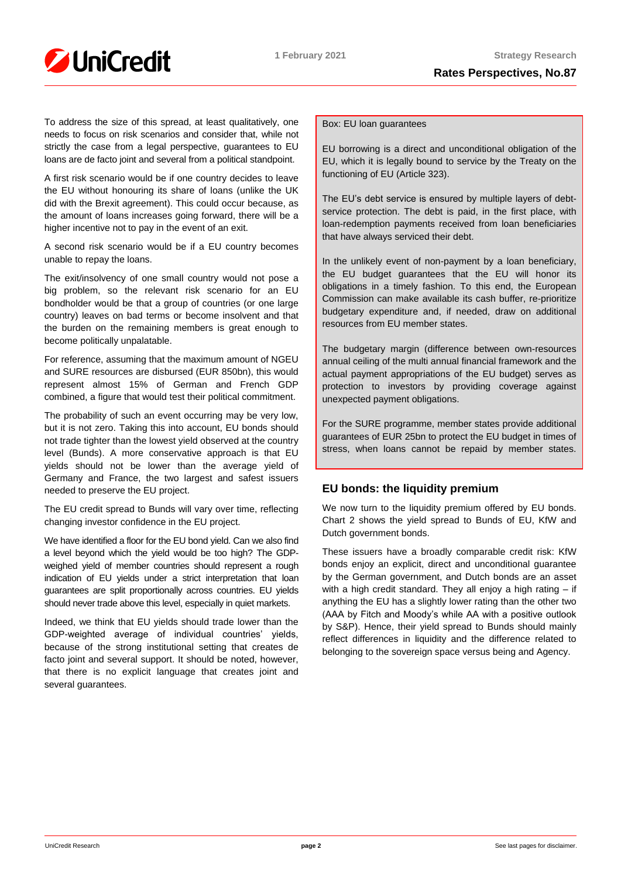

To address the size of this spread, at least qualitatively, one needs to focus on risk scenarios and consider that, while not strictly the case from a legal perspective, guarantees to EU loans are de facto joint and several from a political standpoint.

A first risk scenario would be if one country decides to leave the EU without honouring its share of loans (unlike the UK did with the Brexit agreement). This could occur because, as the amount of loans increases going forward, there will be a higher incentive not to pay in the event of an exit.

A second risk scenario would be if a EU country becomes unable to repay the loans.

The exit/insolvency of one small country would not pose a big problem, so the relevant risk scenario for an EU bondholder would be that a group of countries (or one large country) leaves on bad terms or become insolvent and that the burden on the remaining members is great enough to become politically unpalatable.

For reference, assuming that the maximum amount of NGEU and SURE resources are disbursed (EUR 850bn), this would represent almost 15% of German and French GDP combined, a figure that would test their political commitment.

The probability of such an event occurring may be very low, but it is not zero. Taking this into account, EU bonds should not trade tighter than the lowest yield observed at the country level (Bunds). A more conservative approach is that EU yields should not be lower than the average yield of Germany and France, the two largest and safest issuers needed to preserve the EU project.

The EU credit spread to Bunds will vary over time, reflecting changing investor confidence in the EU project.

We have identified a floor for the EU bond yield. Can we also find a level beyond which the yield would be too high? The GDPweighed yield of member countries should represent a rough indication of EU yields under a strict interpretation that loan guarantees are split proportionally across countries. EU yields should never trade above this level, especially in quiet markets.

Indeed, we think that EU yields should trade lower than the GDP-weighted average of individual countries' yields, because of the strong institutional setting that creates de facto joint and several support. It should be noted, however, that there is no explicit language that creates joint and several guarantees.

## Box: EU loan guarantees

EU borrowing is a direct and unconditional obligation of the EU, which it is legally bound to service by the Treaty on the functioning of EU (Article 323).

The EU's debt service is ensured by multiple layers of debtservice protection. The debt is paid, in the first place, with loan-redemption payments received from loan beneficiaries that have always serviced their debt.

In the unlikely event of non-payment by a loan beneficiary, the EU budget guarantees that the EU will honor its obligations in a timely fashion. To this end, the European Commission can make available its cash buffer, re-prioritize budgetary expenditure and, if needed, draw on additional resources from EU member states.

The budgetary margin (difference between own-resources annual ceiling of the multi annual financial framework and the actual payment appropriations of the EU budget) serves as protection to investors by providing coverage against unexpected payment obligations.

For the SURE programme, member states provide additional guarantees of EUR 25bn to protect the EU budget in times of stress, when loans cannot be repaid by member states.

# **EU bonds: the liquidity premium**

We now turn to the liquidity premium offered by EU bonds. Chart 2 shows the yield spread to Bunds of EU, KfW and Dutch government bonds.

These issuers have a broadly comparable credit risk: KfW bonds enjoy an explicit, direct and unconditional guarantee by the German government, and Dutch bonds are an asset with a high credit standard. They all enjoy a high rating – if anything the EU has a slightly lower rating than the other two (AAA by Fitch and Moody's while AA with a positive outlook by S&P). Hence, their yield spread to Bunds should mainly reflect differences in liquidity and the difference related to belonging to the sovereign space versus being and Agency.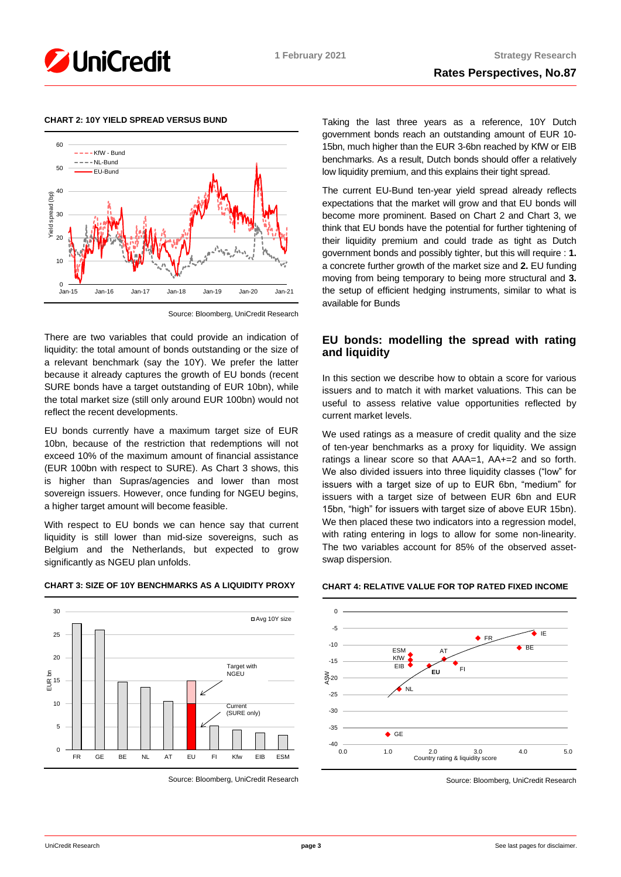

## **CHART 2: 10Y YIELD SPREAD VERSUS BUND**



Source: Bloomberg, UniCredit Research

There are two variables that could provide an indication of liquidity: the total amount of bonds outstanding or the size of a relevant benchmark (say the 10Y). We prefer the latter because it already captures the growth of EU bonds (recent SURE bonds have a target outstanding of EUR 10bn), while the total market size (still only around EUR 100bn) would not reflect the recent developments.

EU bonds currently have a maximum target size of EUR 10bn, because of the restriction that redemptions will not exceed 10% of the maximum amount of financial assistance (EUR 100bn with respect to SURE). As Chart 3 shows, this is higher than Supras/agencies and lower than most sovereign issuers. However, once funding for NGEU begins, a higher target amount will become feasible.

With respect to EU bonds we can hence say that current liquidity is still lower than mid-size sovereigns, such as Belgium and the Netherlands, but expected to grow significantly as NGEU plan unfolds.

## **CHART 3: SIZE OF 10Y BENCHMARKS AS A LIQUIDITY PROXY**



Source: Bloomberg, UniCredit Research

Taking the last three years as a reference, 10Y Dutch government bonds reach an outstanding amount of EUR 10- 15bn, much higher than the EUR 3-6bn reached by KfW or EIB benchmarks. As a result, Dutch bonds should offer a relatively low liquidity premium, and this explains their tight spread.

The current EU-Bund ten-year yield spread already reflects expectations that the market will grow and that EU bonds will become more prominent. Based on Chart 2 and Chart 3, we think that EU bonds have the potential for further tightening of their liquidity premium and could trade as tight as Dutch government bonds and possibly tighter, but this will require : **1.** a concrete further growth of the market size and **2.** EU funding moving from being temporary to being more structural and **3.** the setup of efficient hedging instruments, similar to what is available for Bunds

# **EU bonds: modelling the spread with rating and liquidity**

In this section we describe how to obtain a score for various issuers and to match it with market valuations. This can be useful to assess relative value opportunities reflected by current market levels.

We used ratings as a measure of credit quality and the size of ten-year benchmarks as a proxy for liquidity. We assign ratings a linear score so that AAA=1, AA+=2 and so forth. We also divided issuers into three liquidity classes ("low" for issuers with a target size of up to EUR 6bn, "medium" for issuers with a target size of between EUR 6bn and EUR 15bn, "high" for issuers with target size of above EUR 15bn). We then placed these two indicators into a regression model, with rating entering in logs to allow for some non-linearity. The two variables account for 85% of the observed assetswap dispersion.

# **CHART 4: RELATIVE VALUE FOR TOP RATED FIXED INCOME**



Source: Bloomberg, UniCredit Research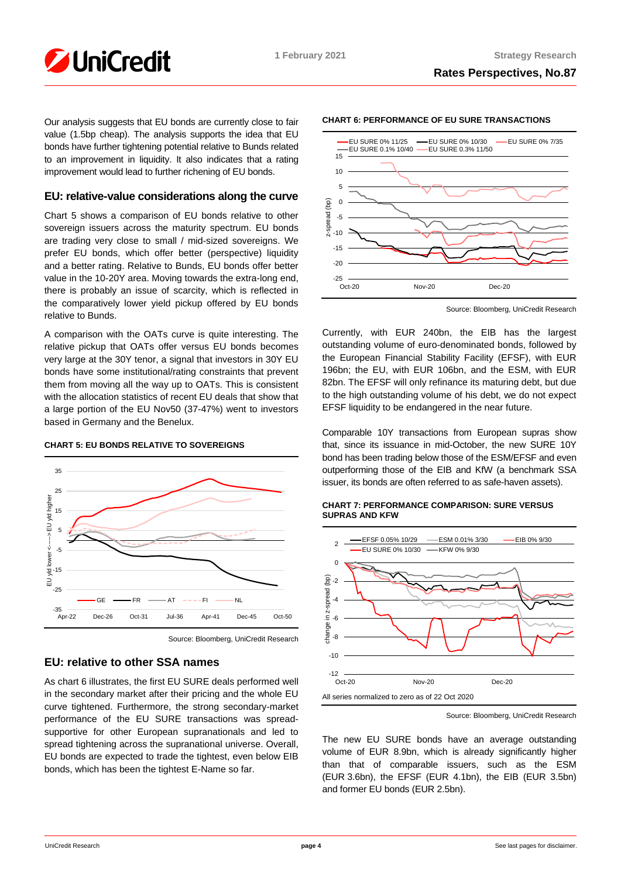

Our analysis suggests that EU bonds are currently close to fair value (1.5bp cheap). The analysis supports the idea that EU bonds have further tightening potential relative to Bunds related to an improvement in liquidity. It also indicates that a rating improvement would lead to further richening of EU bonds.

# **EU: relative-value considerations along the curve**

Chart 5 shows a comparison of EU bonds relative to other sovereign issuers across the maturity spectrum. EU bonds are trading very close to small / mid-sized sovereigns. We prefer EU bonds, which offer better (perspective) liquidity and a better rating. Relative to Bunds, EU bonds offer better value in the 10-20Y area. Moving towards the extra-long end, there is probably an issue of scarcity, which is reflected in the comparatively lower yield pickup offered by EU bonds relative to Bunds.

A comparison with the OATs curve is quite interesting. The relative pickup that OATs offer versus EU bonds becomes very large at the 30Y tenor, a signal that investors in 30Y EU bonds have some institutional/rating constraints that prevent them from moving all the way up to OATs. This is consistent with the allocation statistics of recent EU deals that show that a large portion of the EU Nov50 (37-47%) went to investors based in Germany and the Benelux.

## **CHART 5: EU BONDS RELATIVE TO SOVEREIGNS**



Source: Bloomberg, UniCredit Research

# **EU: relative to other SSA names**

As chart 6 illustrates, the first EU SURE deals performed well in the secondary market after their pricing and the whole EU curve tightened. Furthermore, the strong secondary-market performance of the EU SURE transactions was spreadsupportive for other European supranationals and led to spread tightening across the supranational universe. Overall, EU bonds are expected to trade the tightest, even below EIB bonds, which has been the tightest E-Name so far.



**CHART 6: PERFORMANCE OF EU SURE TRANSACTIONS**

Source: Bloomberg, UniCredit Research

Currently, with EUR 240bn, the EIB has the largest outstanding volume of euro-denominated bonds, followed by the European Financial Stability Facility (EFSF), with EUR 196bn; the EU, with EUR 106bn, and the ESM, with EUR 82bn. The EFSF will only refinance its maturing debt, but due to the high outstanding volume of his debt, we do not expect EFSF liquidity to be endangered in the near future.

Comparable 10Y transactions from European supras show that, since its issuance in mid-October, the new SURE 10Y bond has been trading below those of the ESM/EFSF and even outperforming those of the EIB and KfW (a benchmark SSA issuer, its bonds are often referred to as safe-haven assets).

## **CHART 7: PERFORMANCE COMPARISON: SURE VERSUS SUPRAS AND KFW**



Source: Bloomberg, UniCredit Research

The new EU SURE bonds have an average outstanding volume of EUR 8.9bn, which is already significantly higher than that of comparable issuers, such as the ESM (EUR 3.6bn), the EFSF (EUR 4.1bn), the EIB (EUR 3.5bn) and former EU bonds (EUR 2.5bn).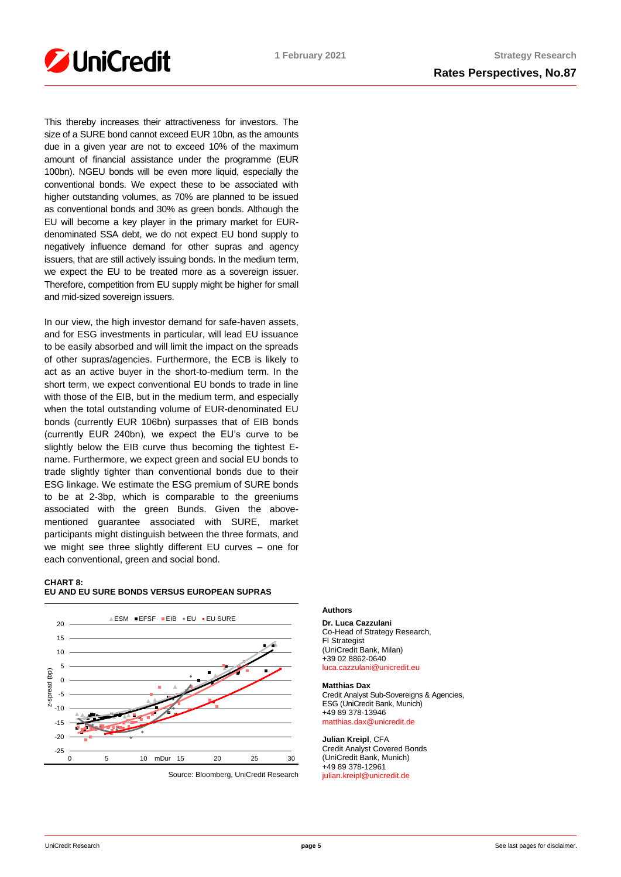

This thereby increases their attractiveness for investors. The size of a SURE bond cannot exceed EUR 10bn, as the amounts due in a given year are not to exceed 10% of the maximum amount of financial assistance under the programme (EUR 100bn). NGEU bonds will be even more liquid, especially the conventional bonds. We expect these to be associated with higher outstanding volumes, as 70% are planned to be issued as conventional bonds and 30% as green bonds. Although the EU will become a key player in the primary market for EURdenominated SSA debt, we do not expect EU bond supply to negatively influence demand for other supras and agency issuers, that are still actively issuing bonds. In the medium term, we expect the EU to be treated more as a sovereign issuer. Therefore, competition from EU supply might be higher for small and mid-sized sovereign issuers.

In our view, the high investor demand for safe-haven assets, and for ESG investments in particular, will lead EU issuance to be easily absorbed and will limit the impact on the spreads of other supras/agencies. Furthermore, the ECB is likely to act as an active buyer in the short-to-medium term. In the short term, we expect conventional EU bonds to trade in line with those of the EIB, but in the medium term, and especially when the total outstanding volume of EUR-denominated EU bonds (currently EUR 106bn) surpasses that of EIB bonds (currently EUR 240bn), we expect the EU's curve to be slightly below the EIB curve thus becoming the tightest Ename. Furthermore, we expect green and social EU bonds to trade slightly tighter than conventional bonds due to their ESG linkage. We estimate the ESG premium of SURE bonds to be at 2-3bp, which is comparable to the greeniums associated with the green Bunds. Given the abovementioned guarantee associated with SURE, market participants might distinguish between the three formats, and we might see three slightly different EU curves – one for each conventional, green and social bond.

#### **CHART 8: EU AND EU SURE BONDS VERSUS EUROPEAN SUPRAS**



Source: Bloomberg, UniCredit Research

# **Authors**

**Dr. Luca Cazzulani** Co-Head of Strategy Research, FI Strategist (UniCredit Bank, Milan) +39 02 8862-0640 [luca.cazzulani@unicredit.eu](mailto:luca.cazzulani@unicredit.eu)

#### **Matthias Dax**

Credit Analyst Sub-Sovereigns & Agencies, ESG (UniCredit Bank, Munich) +49 89 378-13946 [matthias.dax@unicredit.de](mailto:matthias.dax@unicredit.de)

**Julian Kreipl**, CFA Credit Analyst Covered Bonds (UniCredit Bank, Munich) +49 89 378-12961 [julian.kreipl@unicredit.de](mailto:julian.kreipl@unicredit.de)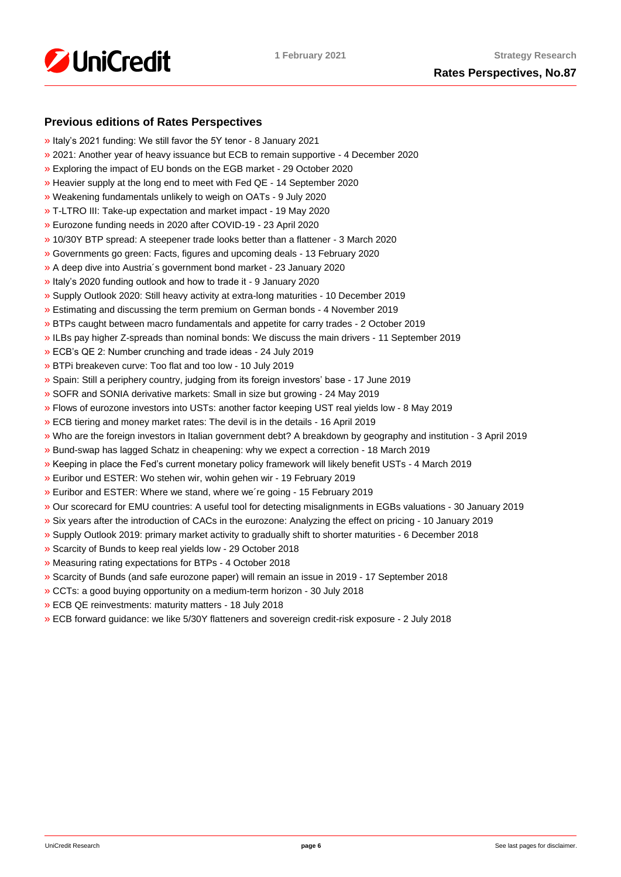

# **Previous editions of Rates Perspectives**

- [»](https://www.research.unicredit.eu/DocsKey/fxfistrategy_docs_2021_178879.ashx?EXT=pdf&KEY=KZGTuQCn4lsvclJnUgseVCsY1pNwWYpSxYneOq3LGyt4eyF56Lnjig==&) Italy's 2021 funding: We still favor the 5Y tenor 8 January 2021
- [»](https://www.research.unicredit.eu/DocsKey/fxfistrategy_docs_2020_178703.ashx?EXT=pdf&KEY=KZGTuQCn4lsvclJnUgseVFcI2-vTFR2nFvdgpPgOyS7_7gSenXs8vw==) 2021: Another year of heavy issuance but ECB to remain supportive 4 December 2020
- [»](https://www.research.unicredit.eu/DocsKey/fxfistrategy_docs_2020_178319.ashx?EXT=pdf&KEY=KZGTuQCn4lsvclJnUgseVFcI2-vTFR2nRi29dMwdIovM3G3jxYh8vw==) Exploring the impact of EU bonds on the EGB market 29 October 2020
- [»](https://www.research.unicredit.eu/DocsKey/fxfistrategy_docs_2020_177861.ashx?EXT=pdf&KEY=KZGTuQCn4lsvclJnUgseVFcI2-vTFR2nyfW5CoPOGyGcSR2zWP6xCA==) Heavier supply at the long end to meet with Fed QE 14 September 2020
- [»](https://www.research.unicredit.eu/DocsKey/fxfistrategy_docs_2020_177386.ashx?EXT=pdf&KEY=KZGTuQCn4lsvclJnUgseVFcI2-vTFR2nO6XLPK2SkhnVq7fg7fdZMA==) Weakening fundamentals unlikely to weigh on OATs 9 July 2020
- [»](https://www.research.unicredit.eu/DocsKey/fxfistrategy_docs_2020_176890.ashx?EXT=pdf&KEY=KZGTuQCn4lsvclJnUgseVFcI2-vTFR2nW1DHnTvta0o0CL0_mPxnUg==) T-LTRO III: Take-up expectation and market impact 19 May 2020
- [»](https://www.research.unicredit.eu/DocsKey/fxfistrategy_docs_2020_176630.ashx?EXT=pdf&KEY=KZGTuQCn4lsvclJnUgseVFcI2-vTFR2nlVdqzbTp94Q4BdEhR8EC5A==) Eurozone funding needs in 2020 after COVID-19 23 April 2020
- [»](https://www.research.unicredit.eu/DocsKey/fxfistrategy_docs_2020_176143.ashx?EXT=pdf&KEY=KZGTuQCn4lsvclJnUgseVFcI2-vTFR2n46XMXAIB2V6cPOOjdj7_cg==) 10/30Y BTP spread: A steepener trade looks better than a flattener 3 March 2020
- [»](https://www.research.unicredit.eu/DocsKey/fxfistrategy_docs_2020_175954.ashx?EXT=pdf&KEY=KZGTuQCn4lsvclJnUgseVFcI2-vTFR2nPNmoWwinZoBS4spnPS0v9A==) Governments go green: Facts, figures and upcoming deals 13 February 2020
- [»](https://www.research.unicredit.eu/DocsKey/fxfistrategy_docs_2020_175729.ashx?EXT=pdf&KEY=KZGTuQCn4lsvclJnUgseVFcI2-vTFR2nD3IxnL2-DMsUkYgH9VwtEQ==) A deep dive into Austria´s government bond market 23 January 2020
- [»](https://www.research.unicredit.eu/DocsKey/fxfistrategy_docs_2020_175593.ashx?EXT=pdf&KEY=KZGTuQCn4lsvclJnUgseVFcI2-vTFR2nXzQVTsg1IArUTJHz7ClnKQ==) Italy's 2020 funding outlook and how to trade it 9 January 2020
- [»](https://www.research.unicredit.eu/DocsKey/fxfistrategy_docs_2019_175462.ashx?EXT=pdf&KEY=KZGTuQCn4lsvclJnUgseVEGHysWJl2Ns9AlMl_yM9fb41Glf-ynILQ==) Supply Outlook 2020: Still heavy activity at extra-long maturities 10 December 2019
- [»](https://www.research.unicredit.eu/DocsKey/fxfistrategy_docs_2019_175097.ashx?EXT=pdf&KEY=KZGTuQCn4lsvclJnUgseVEGHysWJl2NsalH1w8p3dPurdMMtjayMTw==) Estimating and discussing the term premium on German bonds 4 November 2019
- [»](https://www.research.unicredit.eu/DocsKey/fxfistrategy_docs_2019_174747.ashx?EXT=pdf&KEY=KZGTuQCn4lsvclJnUgseVEGHysWJl2NshFxQRxeXxVYxi2cgVzAqQQ==) BTPs caught between macro fundamentals and appetite for carry trades 2 October 2019
- [»](https://www.research.unicredit.eu/DocsKey/fxfistrategy_docs_2019_174503.ashx?EXT=pdf&KEY=KZGTuQCn4lsvclJnUgseVEGHysWJl2NsCFMwr5HzJ17_YmUeW60-Ag==) ILBs pay higher Z-spreads than nominal bonds: We discuss the main drivers 11 September 2019
- [»](https://www.research.unicredit.eu/DocsKey/fxfistrategy_docs_2019_173046.ashx?EXT=pdf&KEY=KZGTuQCn4lsvclJnUgseVEGHysWJl2NsYmN8grxHaGuMlNiR5FCG-Q==) ECB's QE 2: Number crunching and trade ideas 24 July 2019
- [»](https://www.research.unicredit.eu/DocsKey/fxfistrategy_docs_2019_172874.ashx?EXT=pdf&KEY=KZGTuQCn4lsvclJnUgseVEGHysWJl2NsU6w4VN1R8ufrSpaKVsG8hw==) BTPi breakeven curve: Too flat and too low 10 July 2019
- [»](https://www.research.unicredit.eu/DocsKey/fxfistrategy_docs_2019_172612.ashx?EXT=pdf&KEY=KZGTuQCn4lsvclJnUgseVEGHysWJl2Ns2prJ4cLGo5kZAYkhTSIwiQ==) Spain: Still a periphery country, judging from its foreign investors' base 17 June 2019
- [»](https://www.research.unicredit.eu/DocsKey/fxfistrategy_docs_2019_172362.ashx?EXT=pdf&KEY=KZGTuQCn4lsvclJnUgseVEGHysWJl2NsmV7mtWY1YutdeERi5OnkvA==) SOFR and SONIA derivative markets: Small in size but growing 24 May 2019
- [»](https://www.research.unicredit.eu/DocsKey/fxfistrategy_docs_2019_171193.ashx?EXT=pdf&KEY=KZGTuQCn4lsvclJnUgseVEGHysWJl2NsQ363zHJuO-4ubO81Q09WWw==) Flows of eurozone investors into USTs: another factor keeping UST real yields low 8 May 2019
- [»](https://www.research.unicredit.eu/DocsKey/fxfistrategy_docs_2019_170974.ashx?EXT=pdf&KEY=KZGTuQCn4lsvclJnUgseVEGHysWJl2NsRTomOaKjVl9lFV8OK8lXLA==) ECB tiering and money market rates: The devil is in the details 16 April 2019
- [»](https://www.research.unicredit.eu/DocsKey/fxfistrategy_docs_2019_170284.ashx?EXT=pdf&KEY=KZGTuQCn4lsvclJnUgseVEGHysWJl2NsEwG0xblWxFK9BVQAB4eryA==) Who are the foreign investors in Italian government debt? A breakdown by geography and institution 3 April 2019
- [»](https://www.research.unicredit.eu/DocsKey/fxfistrategy_docs_2019_170066.ashx?EXT=pdf&KEY=KZGTuQCn4lsvclJnUgseVEGHysWJl2NsNOWCS-vPqTdpZhijXIyJ5Q==) Bund-swap has lagged Schatz in cheapening: why we expect a correction 18 March 2019
- [»](https://www.research.unicredit.eu/DocsKey/fxfistrategy_docs_2019_169883.ashx?EXT=pdf&KEY=KZGTuQCn4lsvclJnUgseVEGHysWJl2Nsz9dXRsXwpAsZUUpCjW9eRw==) Keeping in place the Fed's current monetary policy framework will likely benefit USTs 4 March 2019
- [»](https://www.research.unicredit.eu/DocsKey/fxfistrategy_docs_2019_169737.ashx?EXT=pdf&KEY=KZGTuQCn4lsvclJnUgseVEGHysWJl2NsVk__5HHS-wtgogqSIYe_pg==) Euribor und ESTER: Wo stehen wir, wohin gehen wir 19 February 2019
- [»](https://www.research.unicredit.eu/DocsKey/fxfistrategy_docs_2019_169681.ashx?EXT=pdf&KEY=KZGTuQCn4lsvclJnUgseVEGHysWJl2NsvFsIe2gTc3YHhaYXz8CyMQ==) Euribor and ESTER: Where we stand, where we´re going 15 February 2019
- [»](https://www.research.unicredit.eu/DocsKey/fxfistrategy_docs_2019_168976.ashx?EXT=pdf&KEY=KZGTuQCn4lsvclJnUgseVEGHysWJl2NsBRIhGRL9OpCAofKNpRdbqw==) Our scorecard for EMU countries: A useful tool for detecting misalignments in EGBs valuations 30 January 2019
- [»](https://www.research.unicredit.eu/DocsKey/fxfistrategy_docs_2019_168690.ashx?EXT=pdf&KEY=KZGTuQCn4lsvclJnUgseVEGHysWJl2Ns6zwNCeXNSn5_WEAdcnzkSw==) Six years after the introduction of CACs in the eurozone: Analyzing the effect on pricing 10 January 2019
- [»](https://www.research.unicredit.eu/DocsKey/fxfistrategy_docs_2018_168081.ashx?EXT=pdf&KEY=KZGTuQCn4lsvclJnUgseVGkpNcRXR5-WdODblZpTi0A4RE9IYOSOOA==&T=1) Supply Outlook 2019: primary market activity to gradually shift to shorter maturities 6 December 2018
- [»](https://www.research.unicredit.eu/DocsKey/fxfistrategy_docs_2018_167651.ashx?EXT=pdf&KEY=KZGTuQCn4lsvclJnUgseVGkpNcRXR5-WLbIUypeIHxyD3rdrNgjwjg==&T=1) Scarcity of Bunds to keep real yields low 29 October 2018
- [»](https://www.research.unicredit.eu/DocsKey/fxfistrategy_docs_2018_167362.ashx?EXT=pdf&KEY=KZGTuQCn4lsvclJnUgseVGkpNcRXR5-W7gOokc4_UKGkd-Hy3Wx_vg==&T=1) Measuring rating expectations for BTPs 4 October 2018
- [»](https://www.research.unicredit.eu/DocsKey/fxfistrategy_docs_2018_167162.ashx?EXT=pdf&KEY=KZGTuQCn4lsvclJnUgseVGkpNcRXR5-WLonU6aW-riDJHVt4RBRKJQ==&T=1) Scarcity of Bunds (and safe eurozone paper) will remain an issue in 2019 17 September 2018
- [»](https://www.research.unicredit.eu/DocsKey/fxfistrategy_docs_2018_166735.ashx?EXT=pdf&KEY=KZGTuQCn4lsvclJnUgseVGkpNcRXR5-WJcyLXLDNCHrk_1IGoA85eQ==&T=1) CCTs: a good buying opportunity on a medium-term horizon 30 July 2018
- [»](https://www.research.unicredit.eu/DocsKey/fxfistrategy_docs_2018_165506.ashx?EXT=pdf&KEY=KZGTuQCn4lsvclJnUgseVGkpNcRXR5-WelAdBLCjwv2CsrEf1G_7vA==&T=1) ECB QE reinvestments: maturity matters 18 July 2018
- [»](https://www.research.unicredit.eu/DocsKey/fxfistrategy_docs_2018_165296.ashx?EXT=pdf&KEY=KZGTuQCn4lsvclJnUgseVGkpNcRXR5-Wl83fmK6epfPJRPrdFbpp8A==&T=1) ECB forward guidance: we like 5/30Y flatteners and sovereign credit-risk exposure 2 July 2018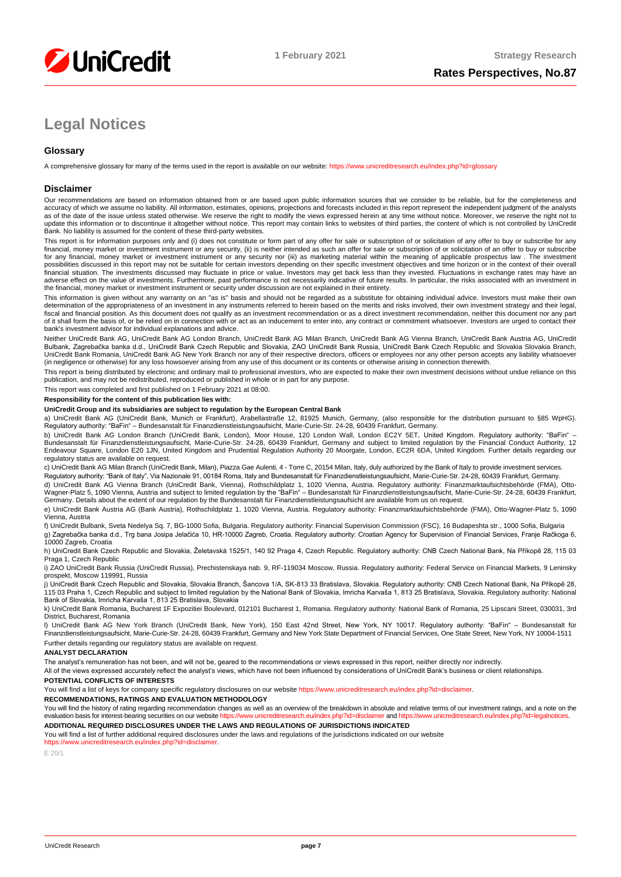

# **Legal Notices**

# **Glossary**

A comprehensive glossary for many of the terms used in the report is available on our website:<https://www.unicreditresearch.eu/index.php?id=glossary>

#### **Disclaimer**

Our recommendations are based on information obtained from or are based upon public information sources that we consider to be reliable, but for the completeness and<br>accuracy of which we assume no liability. All informatio as of the date of the issue unless stated otherwise. We reserve the right to modify the views expressed herein at any time without notice. Moreover, we reserve the right not to update this information or to discontinue it altogether without notice. This report may contain links to websites of third parties, the content of which is not controlled by UniCredit Bank. No liability is assumed for the content of these third-party websites.

This report is for information purposes only and (i) does not constitute or form part of any offer for sale or subscription of or solicitation of any offer to buy or subscribe for any<br>financial, money market or investment for any financial, money market or investment instrument or any security nor (iii) as marketing material within the meaning of applicable prospectus law . The investment possibilities discussed in this report may not be suitable for certain investors depending on their specific investment objectives and time horizon or in the context of their overall<br>financial situation. The investments di adverse effect on the value of investments. Furthermore, past performance is not necessarily indicative of future results. In particular, the risks associated with an investment in the financial, money market or investment instrument or security under discussion are not explained in their entirety.

This information is given without any warranty on an "as is" basis and should not be regarded as a substitute for obtaining individual advice. Investors must make their own determination of the appropriateness of an investment in any instruments referred to herein based on the merits and risks involved, their own investment strategy and their legal,<br>fiscal and financial position. As this docu of it shall form the basis of, or be relied on in connection with or act as an inducement to enter into, any contract or commitment whatsoever. Investors are urged to contact their bank's investment advisor for individual explanations and advice.

Neither UniCredit Bank AG, UniCredit Bank AG London Branch, UniCredit Bank AG Milan Branch, UniCredit Bank AG Vienna Branch, UniCredit Bank Austria AG, UniCredit Bulbank, Zagrebačka banka d.d., UniCredit Bank Czech Republic and Slovakia, ZAO UniCredit Bank Russia, UniCredit Bank Czech Republic and Slovakia Slovakia Branch,<br>UniCredit Bank Romania, UniCredit Bank AG New York Branch n (in negligence or otherwise) for any loss howsoever arising from any use of this document or its contents or otherwise arising in connection therewith.

This report is being distributed by electronic and ordinary mail to professional investors, who are expected to make their own investment decisions without undue reliance on this publication, and may not be redistributed, reproduced or published in whole or in part for any purpose.

This report was completed and first published on 1 February 2021 at 08:00.

#### **Responsibility for the content of this publication lies with:**

#### **UniCredit Group and its subsidiaries are subject to regulation by the European Central Bank**

a) UniCredit Bank AG (UniCredit Bank, Munich or Frankfurt), Arabellastraße 12, 81925 Munich, Germany, (also responsible for the distribution pursuant to §85 WpHG). Regulatory authority: "BaFin" – Bundesanstalt für Finanzdienstleistungsaufsicht, Marie-Curie-Str. 24-28, 60439 Frankfurt, Germany.

b) UniCredit Bank AG London Branch (UniCredit Bank, London), Moor House, 120 London Wall, London EC2Y 5ET, United Kingdom. Regulatory authority: "BaFin" –<br>Bundesanstalt für Finanzdienstleistungsaufsicht, Marie-Curie-Str. 2 regulatory status are available on request.

c) UniCredit Bank AG Milan Branch (UniCredit Bank, Milan), Piazza Gae Aulenti, 4 - Torre C, 20154 Milan, Italy, duly authorized by the Bank of Italy to provide investment services.

Regulatory authority: "Bank of Italy", Via Nazionale 91, 00184 Roma, Italy and Bundesanstalt für Finanzdienstleistungsaufsicht, Marie-Curie-Str. 24-28, 60439 Frankfurt, Germany.

d) UniCredit Bank AG Vienna Branch (UniCredit Bank, Vienna), Rothschildplatz 1, 1020 Vienna, Austria. Regulatory authority: Finanzmarktaufsichtsbehörde (FMA), Otto-<br>Wagner-Platz 5, 1090 Vienna, Austria and subject to limit e) UniCredit Bank Austria AG (Bank Austria), Rothschildplatz 1, 1020 Vienna, Austria. Regulatory authority: Finanzmarktaufsichtsbehörde (FMA), Otto-Wagner-Platz 5, 1090

#### Vienna, Austria

f) UniCredit Bulbank, Sveta Nedelya Sq. 7, BG-1000 Sofia, Bulgaria. Regulatory authority: Financial Supervision Commission (FSC), 16 Budapeshta str., 1000 Sofia, Bulgaria g) Zagrebačka banka d.d., Trg bana Josipa Jelačića 10, HR-10000 Zagreb, Croatia. Regulatory authority: Croatian Agency for Supervision of Financial Services, Franje Račkoga 6,

#### 10000 Zagreb, Croatia

h) UniCredit Bank Czech Republic and Slovakia, Želetavská 1525/1, 140 92 Praga 4, Czech Republic. Regulatory authority: CNB Czech National Bank, Na Příkopě 28, 115 03 Praga 1, Czech Republic

i) ZAO UniCredit Bank Russia (UniCredit Russia), Prechistenskaya nab. 9, RF-119034 Moscow, Russia, Regulatory authority: Federal Service on Financial Markets, 9 Leninsky prospekt, Moscow 119991, Russia

j) UniCredit Bank Czech Republic and Slovakia, Slovakia Branch, Sancova 1/A, SK-813 33 Bratislava, Slovakia. Regulatory authority: CNB Czech National Bank, Na Příkopě 28,<br>115 03 Praha 1, Czech Republic and subject to limit

k) UniCredit Bank Romania, Bucharest 1F Expozitiei Boulevard, 012101 Bucharest 1, Romania, Regulatory authority: National Bank of Romania, 25 Lipscani Street, 030031, 3rd District, Bucharest, Romania

l) UniCredit Bank AG New York Branch (UniCredit Bank, New York), 150 East 42nd Street, New York, NY 10017. Regulatory authority: "BaFin" – Bundesanstalt für Finanzdienstleistungsaufsicht, Marie-Curie-Str. 24-28, 60439 Frankfurt, Germany and New York State Department of Financial Services, One State Street, New York, NY 10004-1511 Further details regarding our regulatory status are available on request.

#### **ANALYST DECLARATION**

The analyst's remuneration has not been, and will not be, geared to the recommendations or views expressed in this report, neither directly nor indirectly.

All of the views expressed accurately reflect the analyst's views, which have not been influenced by considerations of UniCredit Bank's business or client relationships.

#### **POTENTIAL CONFLICTS OF INTERESTS**

You will find a list of keys for company specific regulatory disclosures on our websit[e https://www.unicreditresearch.eu/index.php?id=disclaimer.](https://www.unicreditresearch.eu/index.php?id=disclaimer)

#### **RECOMMENDATIONS, RATINGS AND EVALUATION METHODOLOGY**

You will find the history of rating regarding recommendation changes as well as an overview of the breakdown in absolute and relative terms of our investment ratings, and a note on the evaluation basis for interest-bearing evaluation basis for interest-bearing securities on our website https://www.unicreditresearch.euring **ADDITIONAL REQUIRED DISCLOSURES UNDER THE LAWS AND REGULATIONS OF JURISDICTIONS INDICATED**

You will find a list of further additional required disclosures under the laws and regulations of the jurisdictions indicated on our website

#### https://www.unicreditresearch.eu/index.php?id=disc

E 20/1